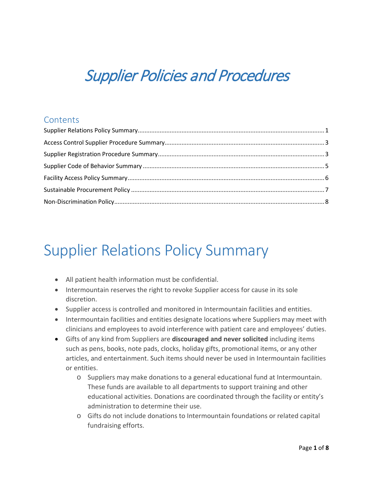# Supplier Policies and Procedures

#### **Contents**

### <span id="page-0-0"></span>Supplier Relations Policy Summary

- All patient health information must be confidential.
- Intermountain reserves the right to revoke Supplier access for cause in its sole discretion.
- Supplier access is controlled and monitored in Intermountain facilities and entities.
- Intermountain facilities and entities designate locations where Suppliers may meet with clinicians and employees to avoid interference with patient care and employees' duties.
- Gifts of any kind from Suppliers are **discouraged and never solicited** including items such as pens, books, note pads, clocks, holiday gifts, promotional items, or any other articles, and entertainment. Such items should never be used in Intermountain facilities or entities.
	- o Suppliers may make donations to a general educational fund at Intermountain. These funds are available to all departments to support training and other educational activities. Donations are coordinated through the facility or entity's administration to determine their use.
	- o Gifts do not include donations to Intermountain foundations or related capital fundraising efforts.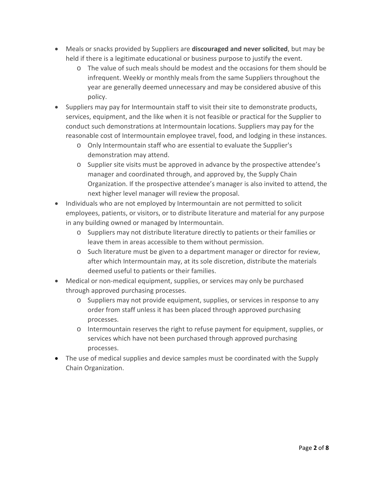- Meals or snacks provided by Suppliers are **discouraged and never solicited**, but may be held if there is a legitimate educational or business purpose to justify the event.
	- o The value of such meals should be modest and the occasions for them should be infrequent. Weekly or monthly meals from the same Suppliers throughout the year are generally deemed unnecessary and may be considered abusive of this policy.
- Suppliers may pay for Intermountain staff to visit their site to demonstrate products, services, equipment, and the like when it is not feasible or practical for the Supplier to conduct such demonstrations at Intermountain locations. Suppliers may pay for the reasonable cost of Intermountain employee travel, food, and lodging in these instances.
	- o Only Intermountain staff who are essential to evaluate the Supplier's demonstration may attend.
	- o Supplier site visits must be approved in advance by the prospective attendee's manager and coordinated through, and approved by, the Supply Chain Organization. If the prospective attendee's manager is also invited to attend, the next higher level manager will review the proposal.
- Individuals who are not employed by Intermountain are not permitted to solicit employees, patients, or visitors, or to distribute literature and material for any purpose in any building owned or managed by Intermountain.
	- o Suppliers may not distribute literature directly to patients or their families or leave them in areas accessible to them without permission.
	- o Such literature must be given to a department manager or director for review, after which Intermountain may, at its sole discretion, distribute the materials deemed useful to patients or their families.
- Medical or non-medical equipment, supplies, or services may only be purchased through approved purchasing processes.
	- o Suppliers may not provide equipment, supplies, or services in response to any order from staff unless it has been placed through approved purchasing processes.
	- o Intermountain reserves the right to refuse payment for equipment, supplies, or services which have not been purchased through approved purchasing processes.
- The use of medical supplies and device samples must be coordinated with the Supply Chain Organization.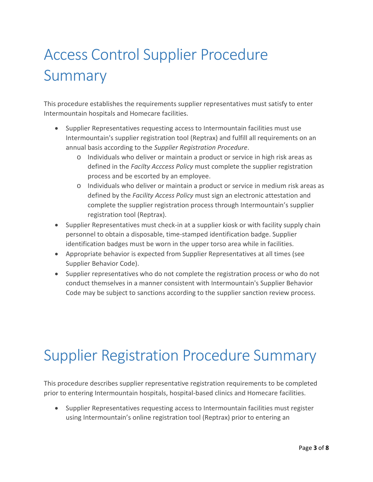# <span id="page-2-0"></span>Access Control Supplier Procedure Summary

This procedure establishes the requirements supplier representatives must satisfy to enter Intermountain hospitals and Homecare facilities.

- Supplier Representatives requesting access to Intermountain facilities must use Intermountain's supplier registration tool (Reptrax) and fulfill all requirements on an annual basis according to the *Supplier Registration Procedure*.
	- o Individuals who deliver or maintain a product or service in high risk areas as defined in the *Facilty Acccess Policy* must complete the supplier registration process and be escorted by an employee.
	- o Individuals who deliver or maintain a product or service in medium risk areas as defined by the *Facility Access Policy* must sign an electronic attestation and complete the supplier registration process through Intermountain's supplier registration tool (Reptrax).
- Supplier Representatives must check-in at a supplier kiosk or with facility supply chain personnel to obtain a disposable, time-stamped identification badge. Supplier identification badges must be worn in the upper torso area while in facilities.
- Appropriate behavior is expected from Supplier Representatives at all times (see Supplier Behavior Code).
- Supplier representatives who do not complete the registration process or who do not conduct themselves in a manner consistent with Intermountain's Supplier Behavior Code may be subject to sanctions according to the supplier sanction review process.

### <span id="page-2-1"></span>Supplier Registration Procedure Summary

This procedure describes supplier representative registration requirements to be completed prior to entering Intermountain hospitals, hospital-based clinics and Homecare facilities.

• Supplier Representatives requesting access to Intermountain facilities must register using Intermountain's online registration tool (Reptrax) prior to entering an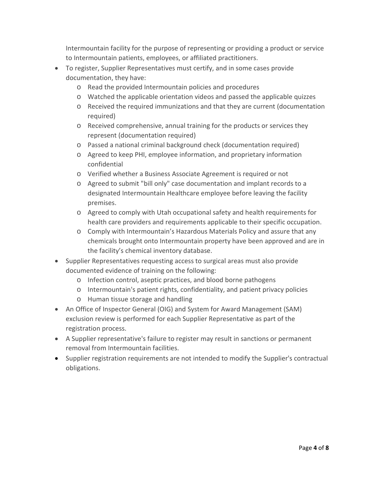Intermountain facility for the purpose of representing or providing a product or service to Intermountain patients, employees, or affiliated practitioners.

- To register, Supplier Representatives must certify, and in some cases provide documentation, they have:
	- o Read the provided Intermountain policies and procedures
	- o Watched the applicable orientation videos and passed the applicable quizzes
	- o Received the required immunizations and that they are current (documentation required)
	- o Received comprehensive, annual training for the products or services they represent (documentation required)
	- o Passed a national criminal background check (documentation required)
	- o Agreed to keep PHI, employee information, and proprietary information confidential
	- o Verified whether a Business Associate Agreement is required or not
	- o Agreed to submit "bill only" case documentation and implant records to a designated Intermountain Healthcare employee before leaving the facility premises.
	- o Agreed to comply with Utah occupational safety and health requirements for health care providers and requirements applicable to their specific occupation.
	- o Comply with Intermountain's Hazardous Materials Policy and assure that any chemicals brought onto Intermountain property have been approved and are in the facility's chemical inventory database.
- Supplier Representatives requesting access to surgical areas must also provide documented evidence of training on the following:
	- o Infection control, aseptic practices, and blood borne pathogens
	- o Intermountain's patient rights, confidentiality, and patient privacy policies
	- o Human tissue storage and handling
- An Office of Inspector General (OIG) and System for Award Management (SAM) exclusion review is performed for each Supplier Representative as part of the registration process.
- A Supplier representative's failure to register may result in sanctions or permanent removal from Intermountain facilities.
- Supplier registration requirements are not intended to modify the Supplier's contractual obligations.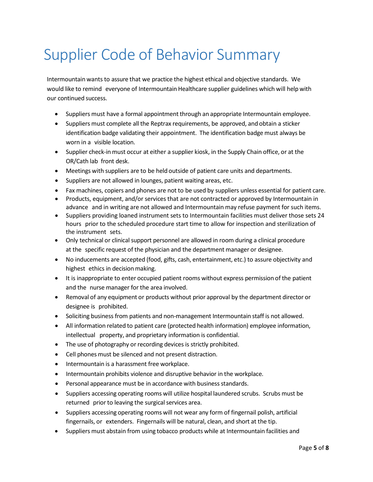## <span id="page-4-0"></span>Supplier Code of Behavior Summary

Intermountain wants to assure that we practice the highest ethical and objective standards. We would like to remind everyone of Intermountain Healthcare supplier guidelines which will help with our continued success.

- Suppliers must have a formal appointment through an appropriate Intermountain employee.
- Suppliers must complete all the Reptrax requirements, be approved, and obtain a sticker identification badge validating their appointment. The identification badge must always be worn in a visible location.
- Supplier check-in must occur at either a supplier kiosk, in the Supply Chain office, or at the OR/Cath lab front desk.
- Meetings with suppliers are to be held outside of patient care units and departments.
- Suppliers are not allowed in lounges, patient waiting areas, etc.
- Fax machines, copiers and phones are not to be used by suppliers unless essential for patient care.
- Products, equipment, and/or services that are not contracted or approved by Intermountain in advance and in writing are not allowed and Intermountain may refuse payment for such items.
- Suppliers providing loaned instrument sets to Intermountain facilities must deliver those sets 24 hours prior to the scheduled procedure start time to allow for inspection and sterilization of the instrument sets.
- Only technical or clinical support personnel are allowed in room during a clinical procedure at the specific request of the physician and the department manager or designee.
- No inducements are accepted (food, gifts, cash, entertainment, etc.) to assure objectivity and highest ethics in decision making.
- It is inappropriate to enter occupied patient rooms without express permission of the patient and the nurse manager for the area involved.
- Removal of any equipment or products without prior approval by the department director or designee is prohibited.
- Soliciting business from patients and non-management Intermountain staff is not allowed.
- All information related to patient care (protected health information) employee information, intellectual property, and proprietary information is confidential.
- The use of photography or recording devices is strictly prohibited.
- Cell phones must be silenced and not present distraction.
- Intermountain is a harassment free workplace.
- Intermountain prohibits violence and disruptive behavior in the workplace.
- Personal appearance must be in accordance with business standards.
- Suppliers accessing operating rooms will utilize hospital laundered scrubs. Scrubs must be returned prior to leaving the surgical services area.
- Suppliers accessing operating rooms will not wear any form of fingernail polish, artificial fingernails, or extenders. Fingernails will be natural, clean, and short at the tip.
- Suppliers must abstain from using tobacco products while at Intermountain facilities and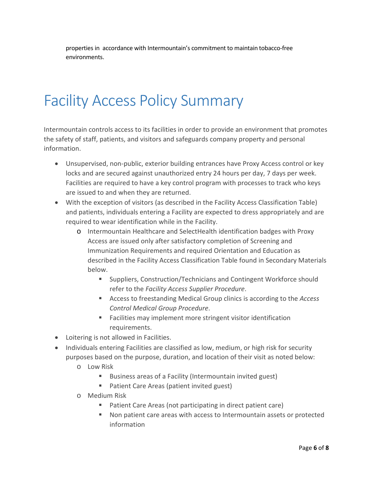properties in accordance with Intermountain's commitment to maintain tobacco-free environments.

#### <span id="page-5-0"></span>Facility Access Policy Summary

Intermountain controls access to its facilities in order to provide an environment that promotes the safety of staff, patients, and visitors and safeguards company property and personal information.

- Unsupervised, non-public, exterior building entrances have Proxy Access control or key locks and are secured against unauthorized entry 24 hours per day, 7 days per week. Facilities are required to have a key control program with processes to track who keys are issued to and when they are returned.
- With the exception of visitors (as described in the Facility Access Classification Table) and patients, individuals entering a Facility are expected to dress appropriately and are required to wear identification while in the Facility.
	- o Intermountain Healthcare and SelectHealth identification badges with Proxy Access are issued only after satisfactory completion of Screening and Immunization Requirements and required Orientation and Education as described in the Facility Access Classification Table found in Secondary Materials below.
		- Suppliers, Construction/Technicians and Contingent Workforce should refer to the *Facility Access Supplier Procedure*.
		- Access to freestanding Medical Group clinics is according to the *Access Control Medical Group Procedure*.
		- **Facilities may implement more stringent visitor identification** requirements.
- Loitering is not allowed in Facilities.
- Individuals entering Facilities are classified as low, medium, or high risk for security purposes based on the purpose, duration, and location of their visit as noted below:
	- o Low Risk
		- Business areas of a Facility (Intermountain invited guest)
		- **Patient Care Areas (patient invited guest)**
	- o Medium Risk
		- Patient Care Areas (not participating in direct patient care)
		- Non patient care areas with access to Intermountain assets or protected information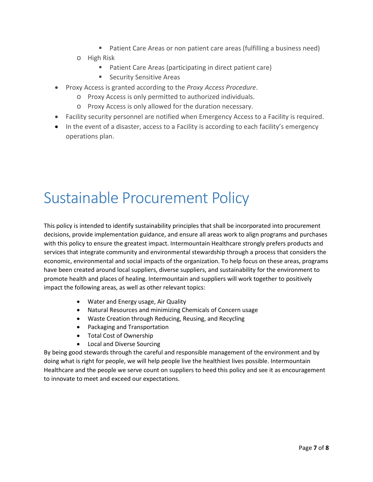- Patient Care Areas or non patient care areas (fulfilling a business need)
- o High Risk
	- Patient Care Areas (participating in direct patient care)
	- **Security Sensitive Areas**
- Proxy Access is granted according to the *Proxy Access Procedure*.
	- o Proxy Access is only permitted to authorized individuals.
	- o Proxy Access is only allowed for the duration necessary.
- Facility security personnel are notified when Emergency Access to a Facility is required.
- In the event of a disaster, access to a Facility is according to each facility's emergency operations plan.

#### <span id="page-6-0"></span>Sustainable Procurement Policy

This policy is intended to identify sustainability principles that shall be incorporated into procurement decisions, provide implementation guidance, and ensure all areas work to align programs and purchases with this policy to ensure the greatest impact. Intermountain Healthcare strongly prefers products and services that integrate community and environmental stewardship through a process that considers the economic, environmental and social impacts of the organization. To help focus on these areas, programs have been created around local suppliers, diverse suppliers, and sustainability for the environment to promote health and places of healing. Intermountain and suppliers will work together to positively impact the following areas, as well as other relevant topics:

- Water and Energy usage, Air Quality
- Natural Resources and minimizing Chemicals of Concern usage
- Waste Creation through Reducing, Reusing, and Recycling
- Packaging and Transportation
- Total Cost of Ownership
- Local and Diverse Sourcing

By being good stewards through the careful and responsible management of the environment and by doing what is right for people, we will help people live the healthiest lives possible. Intermountain Healthcare and the people we serve count on suppliers to heed this policy and see it as encouragement to innovate to meet and exceed our expectations.